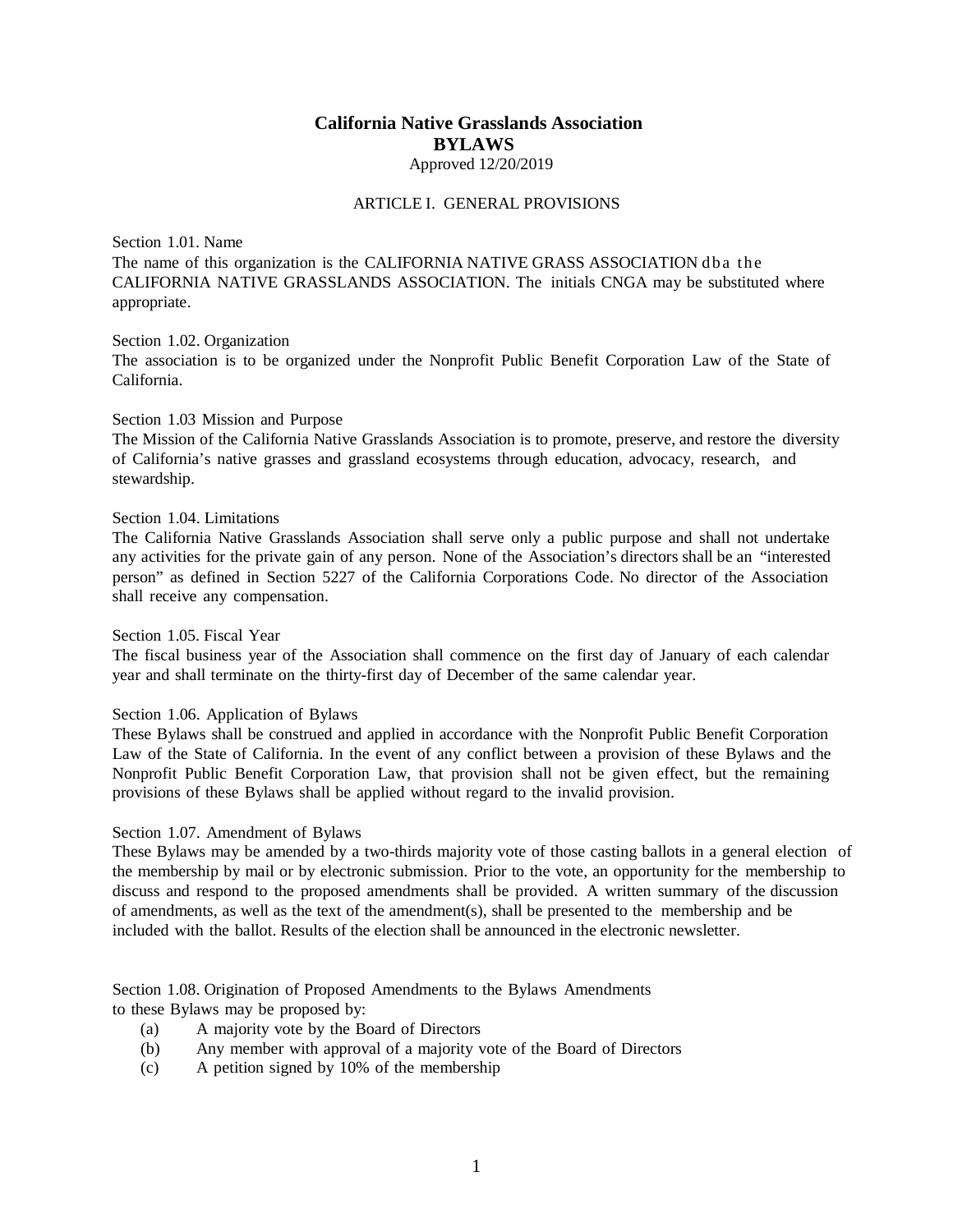# **California Native Grasslands Association BYLAWS** Approved 12/20/2019

### ARTICLE I. GENERAL PROVISIONS

Section 1.01. Name

The name of this organization is the CALIFORNIA NATIVE GRASS ASSOCIATION dba the CALIFORNIA NATIVE GRASSLANDS ASSOCIATION. The initials CNGA may be substituted where appropriate.

Section 1.02. Organization

The association is to be organized under the Nonprofit Public Benefit Corporation Law of the State of California.

### Section 1.03 Mission and Purpose

The Mission of the California Native Grasslands Association is to promote, preserve, and restore the diversity of California's native grasses and grassland ecosystems through education, advocacy, research, and stewardship.

### Section 1.04. Limitations

The California Native Grasslands Association shall serve only a public purpose and shall not undertake any activities for the private gain of any person. None of the Association's directors shall be an "interested person" as defined in Section 5227 of the California Corporations Code. No director of the Association shall receive any compensation.

### Section 1.05. Fiscal Year

The fiscal business year of the Association shall commence on the first day of January of each calendar year and shall terminate on the thirty-first day of December of the same calendar year.

## Section 1.06. Application of Bylaws

These Bylaws shall be construed and applied in accordance with the Nonprofit Public Benefit Corporation Law of the State of California. In the event of any conflict between a provision of these Bylaws and the Nonprofit Public Benefit Corporation Law, that provision shall not be given effect, but the remaining provisions of these Bylaws shall be applied without regard to the invalid provision.

## Section 1.07. Amendment of Bylaws

These Bylaws may be amended by a two-thirds majority vote of those casting ballots in a general election of the membership by mail or by electronic submission. Prior to the vote, an opportunity for the membership to discuss and respond to the proposed amendments shall be provided. A written summary of the discussion of amendments, as well as the text of the amendment(s), shall be presented to the membership and be included with the ballot. Results of the election shall be announced in the electronic newsletter.

Section 1.08. Origination of Proposed Amendments to the Bylaws Amendments to these Bylaws may be proposed by:

- (a) A majority vote by the Board of Directors
- (b) Any member with approval of a majority vote of the Board of Directors
- (c) A petition signed by 10% of the membership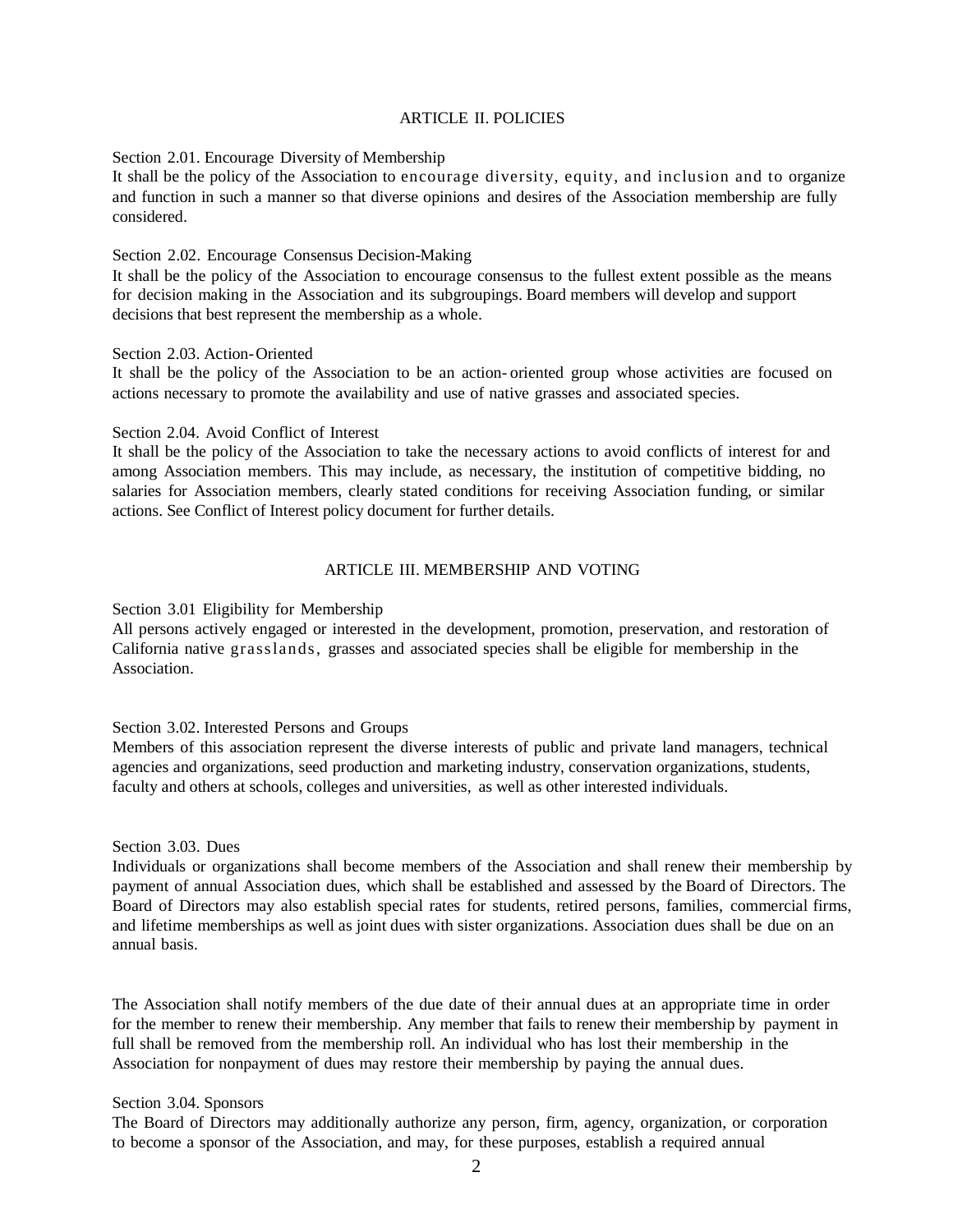### ARTICLE II. POLICIES

### Section 2.01. Encourage Diversity of Membership

It shall be the policy of the Association to encourage diversity, equity, and inclusion and to organize and function in such a manner so that diverse opinions and desires of the Association membership are fully considered.

### Section 2.02. Encourage Consensus Decision-Making

It shall be the policy of the Association to encourage consensus to the fullest extent possible as the means for decision making in the Association and its subgroupings. Board members will develop and support decisions that best represent the membership as a whole.

### Section 2.03. Action-Oriented

It shall be the policy of the Association to be an action- oriented group whose activities are focused on actions necessary to promote the availability and use of native grasses and associated species.

### Section 2.04. Avoid Conflict of Interest

It shall be the policy of the Association to take the necessary actions to avoid conflicts of interest for and among Association members. This may include, as necessary, the institution of competitive bidding, no salaries for Association members, clearly stated conditions for receiving Association funding, or similar actions. See Conflict of Interest policy document for further details.

## ARTICLE III. MEMBERSHIP AND VOTING

Section 3.01 Eligibility for Membership

All persons actively engaged or interested in the development, promotion, preservation, and restoration of California native grasslands, grasses and associated species shall be eligible for membership in the Association.

## Section 3.02. Interested Persons and Groups

Members of this association represent the diverse interests of public and private land managers, technical agencies and organizations, seed production and marketing industry, conservation organizations, students, faculty and others at schools, colleges and universities, as well as other interested individuals.

### Section 3.03. Dues

Individuals or organizations shall become members of the Association and shall renew their membership by payment of annual Association dues, which shall be established and assessed by the Board of Directors. The Board of Directors may also establish special rates for students, retired persons, families, commercial firms, and lifetime memberships as well as joint dues with sister organizations. Association dues shall be due on an annual basis.

The Association shall notify members of the due date of their annual dues at an appropriate time in order for the member to renew their membership. Any member that fails to renew their membership by payment in full shall be removed from the membership roll. An individual who has lost their membership in the Association for nonpayment of dues may restore their membership by paying the annual dues.

#### Section 3.04. Sponsors

The Board of Directors may additionally authorize any person, firm, agency, organization, or corporation to become a sponsor of the Association, and may, for these purposes, establish a required annual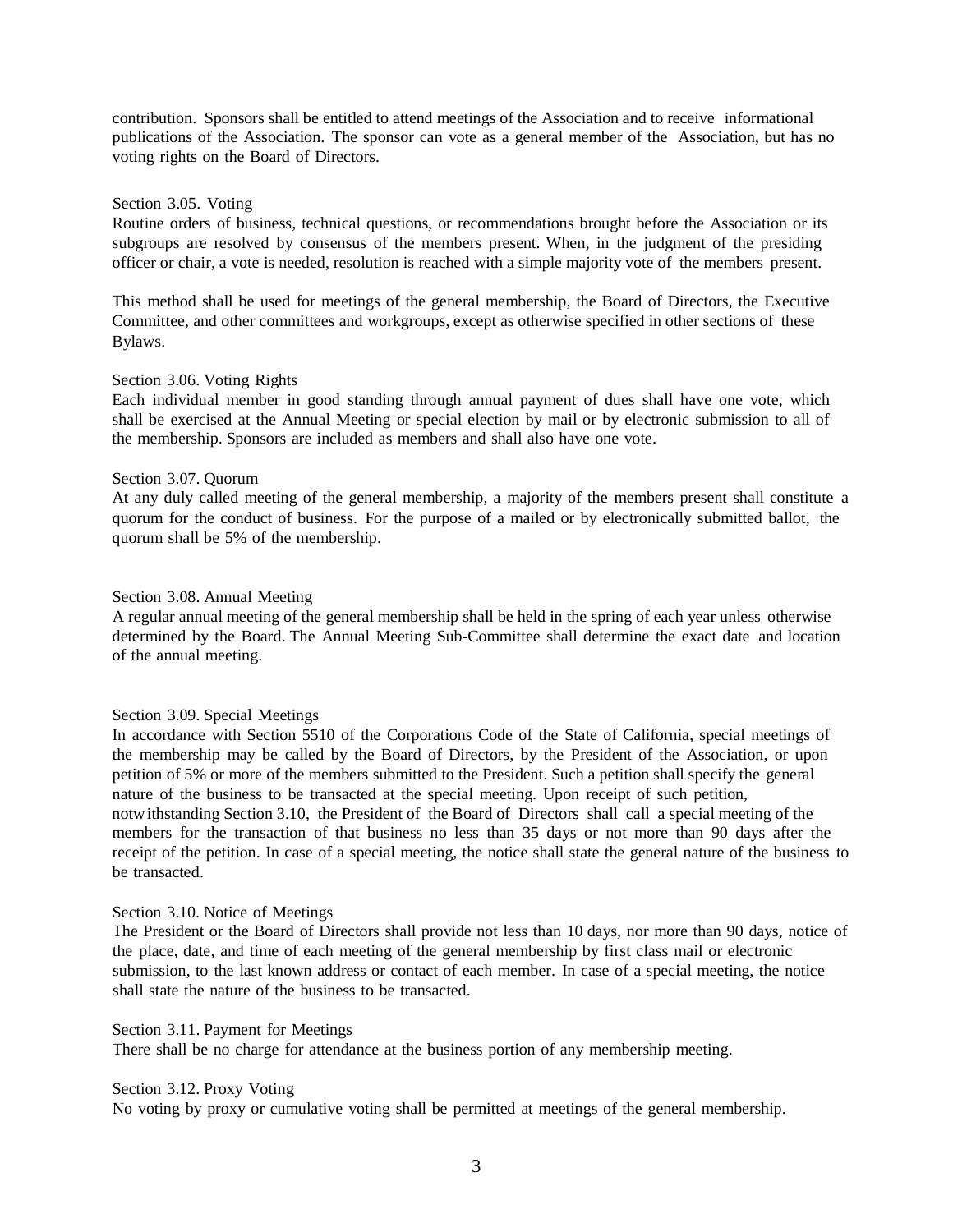contribution. Sponsors shall be entitled to attend meetings of the Association and to receive informational publications of the Association. The sponsor can vote as a general member of the Association, but has no voting rights on the Board of Directors.

### Section 3.05. Voting

Routine orders of business, technical questions, or recommendations brought before the Association or its subgroups are resolved by consensus of the members present. When, in the judgment of the presiding officer or chair, a vote is needed, resolution is reached with a simple majority vote of the members present.

This method shall be used for meetings of the general membership, the Board of Directors, the Executive Committee, and other committees and workgroups, except as otherwise specified in other sections of these Bylaws.

### Section 3.06. Voting Rights

Each individual member in good standing through annual payment of dues shall have one vote, which shall be exercised at the Annual Meeting or special election by mail or by electronic submission to all of the membership. Sponsors are included as members and shall also have one vote.

### Section 3.07. Quorum

At any duly called meeting of the general membership, a majority of the members present shall constitute a quorum for the conduct of business. For the purpose of a mailed or by electronically submitted ballot, the quorum shall be 5% of the membership.

### Section 3.08. Annual Meeting

A regular annual meeting of the general membership shall be held in the spring of each year unless otherwise determined by the Board. The Annual Meeting Sub-Committee shall determine the exact date and location of the annual meeting.

## Section 3.09. Special Meetings

In accordance with Section 5510 of the Corporations Code of the State of California, special meetings of the membership may be called by the Board of Directors, by the President of the Association, or upon petition of 5% or more of the members submitted to the President. Such a petition shall specify the general nature of the business to be transacted at the special meeting. Upon receipt of such petition, notwithstanding Section 3.10, the President of the Board of Directors shall call a special meeting of the members for the transaction of that business no less than 35 days or not more than 90 days after the receipt of the petition. In case of a special meeting, the notice shall state the general nature of the business to be transacted.

## Section 3.10. Notice of Meetings

The President or the Board of Directors shall provide not less than 10 days, nor more than 90 days, notice of the place, date, and time of each meeting of the general membership by first class mail or electronic submission, to the last known address or contact of each member. In case of a special meeting, the notice shall state the nature of the business to be transacted.

### Section 3.11. Payment for Meetings

There shall be no charge for attendance at the business portion of any membership meeting.

#### Section 3.12. Proxy Voting

No voting by proxy or cumulative voting shall be permitted at meetings of the general membership.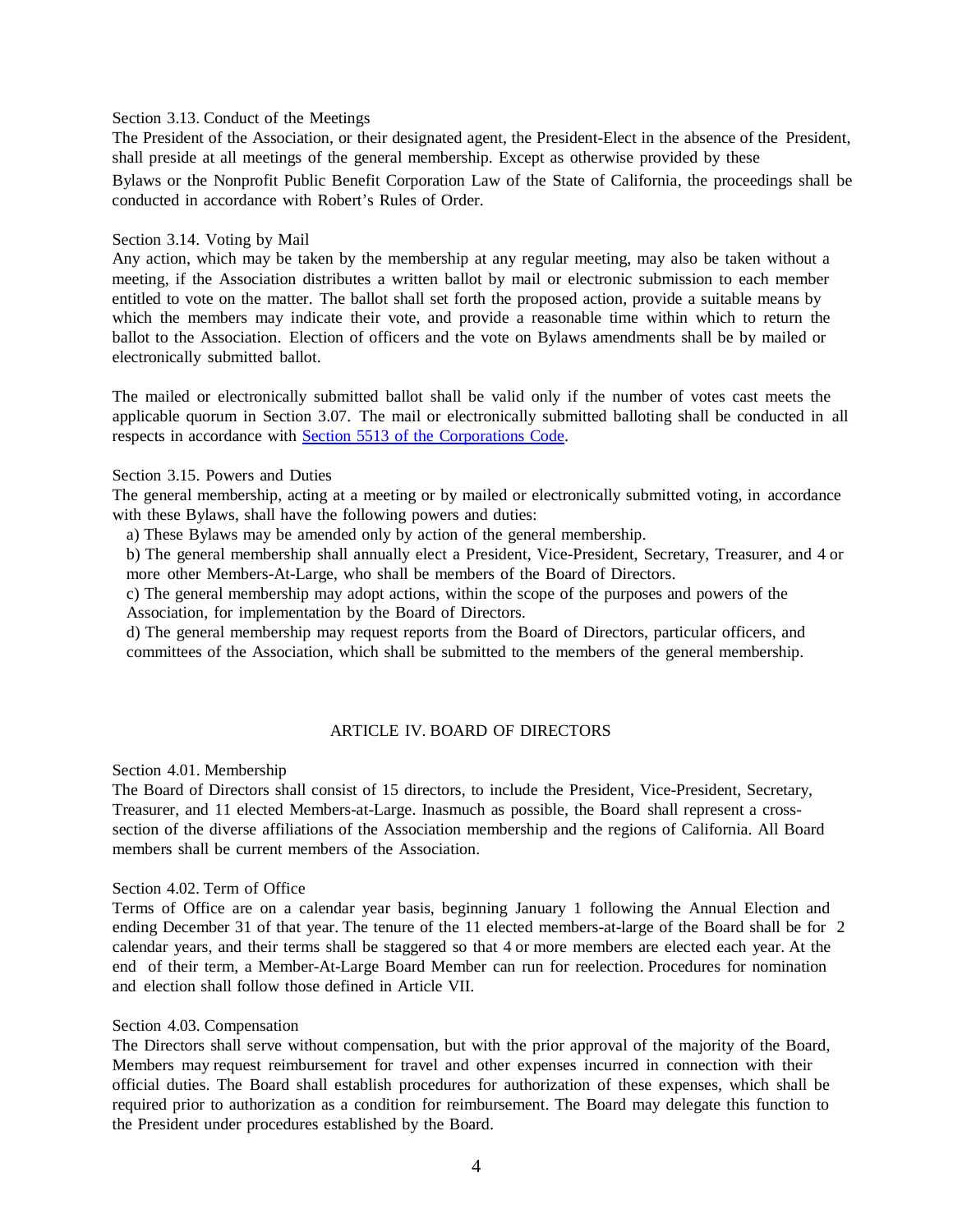#### Section 3.13. Conduct of the Meetings

The President of the Association, or their designated agent, the President-Elect in the absence of the President, shall preside at all meetings of the general membership. Except as otherwise provided by these

Bylaws or the Nonprofit Public Benefit Corporation Law of the State of California, the proceedings shall be conducted in accordance with Robert's Rules of Order.

### Section 3.14. Voting by Mail

Any action, which may be taken by the membership at any regular meeting, may also be taken without a meeting, if the Association distributes a written ballot by mail or electronic submission to each member entitled to vote on the matter. The ballot shall set forth the proposed action, provide a suitable means by which the members may indicate their vote, and provide a reasonable time within which to return the ballot to the Association. Election of officers and the vote on Bylaws amendments shall be by mailed or electronically submitted ballot.

The mailed or electronically submitted ballot shall be valid only if the number of votes cast meets the applicable quorum in Section 3.07. The mail or electronically submitted balloting shall be conducted in all respects in accordance with Section 5513 of the [Corporations](http://leginfo.legislature.ca.gov/faces/codes_displaySection.xhtml?lawCode=CORP§ionNum=5513) Code.

## Section 3.15. Powers and Duties

The general membership, acting at a meeting or by mailed or electronically submitted voting, in accordance with these Bylaws, shall have the following powers and duties:

a) These Bylaws may be amended only by action of the general membership.

b) The general membership shall annually elect a President, Vice-President, Secretary, Treasurer, and 4 or more other Members-At-Large, who shall be members of the Board of Directors.

c) The general membership may adopt actions, within the scope of the purposes and powers of the Association, for implementation by the Board of Directors.

d) The general membership may request reports from the Board of Directors, particular officers, and committees of the Association, which shall be submitted to the members of the general membership.

## ARTICLE IV. BOARD OF DIRECTORS

Section 4.01. Membership

The Board of Directors shall consist of 15 directors, to include the President, Vice-President, Secretary, Treasurer, and 11 elected Members-at-Large. Inasmuch as possible, the Board shall represent a crosssection of the diverse affiliations of the Association membership and the regions of California. All Board members shall be current members of the Association.

## Section 4.02. Term of Office

Terms of Office are on a calendar year basis, beginning January 1 following the Annual Election and ending December 31 of that year. The tenure of the 11 elected members-at-large of the Board shall be for 2 calendar years, and their terms shall be staggered so that 4 or more members are elected each year. At the end of their term, a Member-At-Large Board Member can run for reelection. Procedures for nomination and election shall follow those defined in Article VII.

#### Section 4.03. Compensation

The Directors shall serve without compensation, but with the prior approval of the majority of the Board, Members may request reimbursement for travel and other expenses incurred in connection with their official duties. The Board shall establish procedures for authorization of these expenses, which shall be required prior to authorization as a condition for reimbursement. The Board may delegate this function to the President under procedures established by the Board.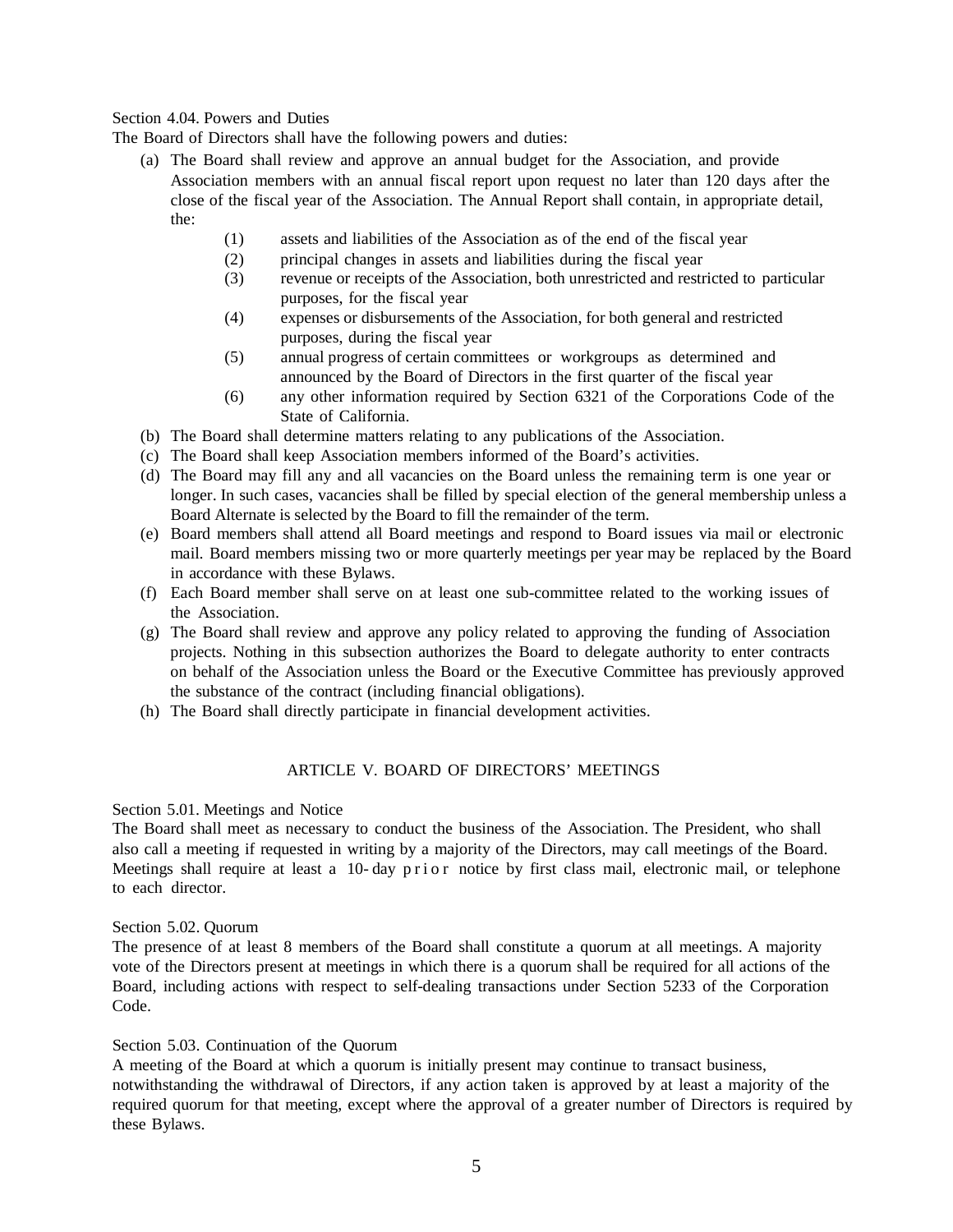## Section 4.04. Powers and Duties

The Board of Directors shall have the following powers and duties:

- (a) The Board shall review and approve an annual budget for the Association, and provide Association members with an annual fiscal report upon request no later than 120 days after the close of the fiscal year of the Association. The Annual Report shall contain, in appropriate detail, the:
	- (1) assets and liabilities of the Association as of the end of the fiscal year
	- (2) principal changes in assets and liabilities during the fiscal year
	- (3) revenue or receipts of the Association, both unrestricted and restricted to particular purposes, for the fiscal year
	- (4) expenses or disbursements of the Association, for both general and restricted purposes, during the fiscal year
	- (5) annual progress of certain committees or workgroups as determined and announced by the Board of Directors in the first quarter of the fiscal year
	- (6) any other information required by Section 6321 of the Corporations Code of the State of California.
- (b) The Board shall determine matters relating to any publications of the Association.
- (c) The Board shall keep Association members informed of the Board's activities.
- (d) The Board may fill any and all vacancies on the Board unless the remaining term is one year or longer. In such cases, vacancies shall be filled by special election of the general membership unless a Board Alternate is selected by the Board to fill the remainder of the term.
- (e) Board members shall attend all Board meetings and respond to Board issues via mail or electronic mail. Board members missing two or more quarterly meetings per year may be replaced by the Board in accordance with these Bylaws.
- (f) Each Board member shall serve on at least one sub-committee related to the working issues of the Association.
- (g) The Board shall review and approve any policy related to approving the funding of Association projects. Nothing in this subsection authorizes the Board to delegate authority to enter contracts on behalf of the Association unless the Board or the Executive Committee has previously approved the substance of the contract (including financial obligations).
- (h) The Board shall directly participate in financial development activities.

## ARTICLE V. BOARD OF DIRECTORS' MEETINGS

## Section 5.01. Meetings and Notice

The Board shall meet as necessary to conduct the business of the Association. The President, who shall also call a meeting if requested in writing by a majority of the Directors, may call meetings of the Board. Meetings shall require at least a 10- day prior notice by first class mail, electronic mail, or telephone to each director.

#### Section 5.02. Quorum

The presence of at least 8 members of the Board shall constitute a quorum at all meetings. A majority vote of the Directors present at meetings in which there is a quorum shall be required for all actions of the Board, including actions with respect to self-dealing transactions under Section 5233 of the Corporation Code.

#### Section 5.03. Continuation of the Quorum

A meeting of the Board at which a quorum is initially present may continue to transact business, notwithstanding the withdrawal of Directors, if any action taken is approved by at least a majority of the required quorum for that meeting, except where the approval of a greater number of Directors is required by these Bylaws.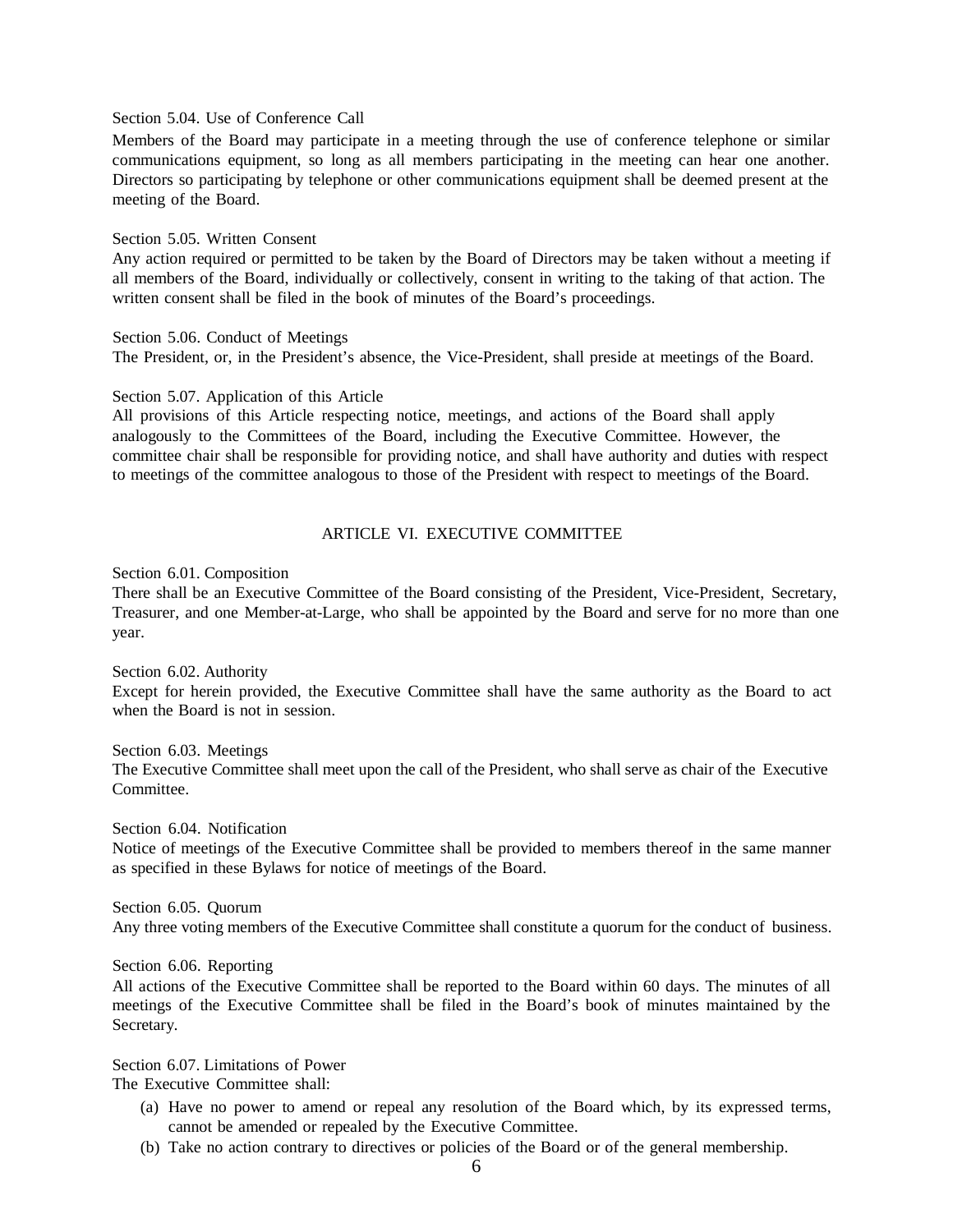Section 5.04. Use of Conference Call

Members of the Board may participate in a meeting through the use of conference telephone or similar communications equipment, so long as all members participating in the meeting can hear one another. Directors so participating by telephone or other communications equipment shall be deemed present at the meeting of the Board.

### Section 5.05. Written Consent

Any action required or permitted to be taken by the Board of Directors may be taken without a meeting if all members of the Board, individually or collectively, consent in writing to the taking of that action. The written consent shall be filed in the book of minutes of the Board's proceedings.

Section 5.06. Conduct of Meetings The President, or, in the President's absence, the Vice-President, shall preside at meetings of the Board.

#### Section 5.07. Application of this Article

All provisions of this Article respecting notice, meetings, and actions of the Board shall apply analogously to the Committees of the Board, including the Executive Committee. However, the committee chair shall be responsible for providing notice, and shall have authority and duties with respect to meetings of the committee analogous to those of the President with respect to meetings of the Board.

## ARTICLE VI. EXECUTIVE COMMITTEE

Section 6.01. Composition

There shall be an Executive Committee of the Board consisting of the President, Vice-President, Secretary, Treasurer, and one Member-at-Large, who shall be appointed by the Board and serve for no more than one year.

Section 6.02. Authority Except for herein provided, the Executive Committee shall have the same authority as the Board to act when the Board is not in session.

Section 6.03. Meetings The Executive Committee shall meet upon the call of the President, who shall serve as chair of the Executive Committee.

Section 6.04. Notification Notice of meetings of the Executive Committee shall be provided to members thereof in the same manner as specified in these Bylaws for notice of meetings of the Board.

Section 6.05. Quorum Any three voting members of the Executive Committee shall constitute a quorum for the conduct of business.

Section 6.06. Reporting

All actions of the Executive Committee shall be reported to the Board within 60 days. The minutes of all meetings of the Executive Committee shall be filed in the Board's book of minutes maintained by the Secretary.

Section 6.07. Limitations of Power

The Executive Committee shall:

- (a) Have no power to amend or repeal any resolution of the Board which, by its expressed terms, cannot be amended or repealed by the Executive Committee.
- (b) Take no action contrary to directives or policies of the Board or of the general membership.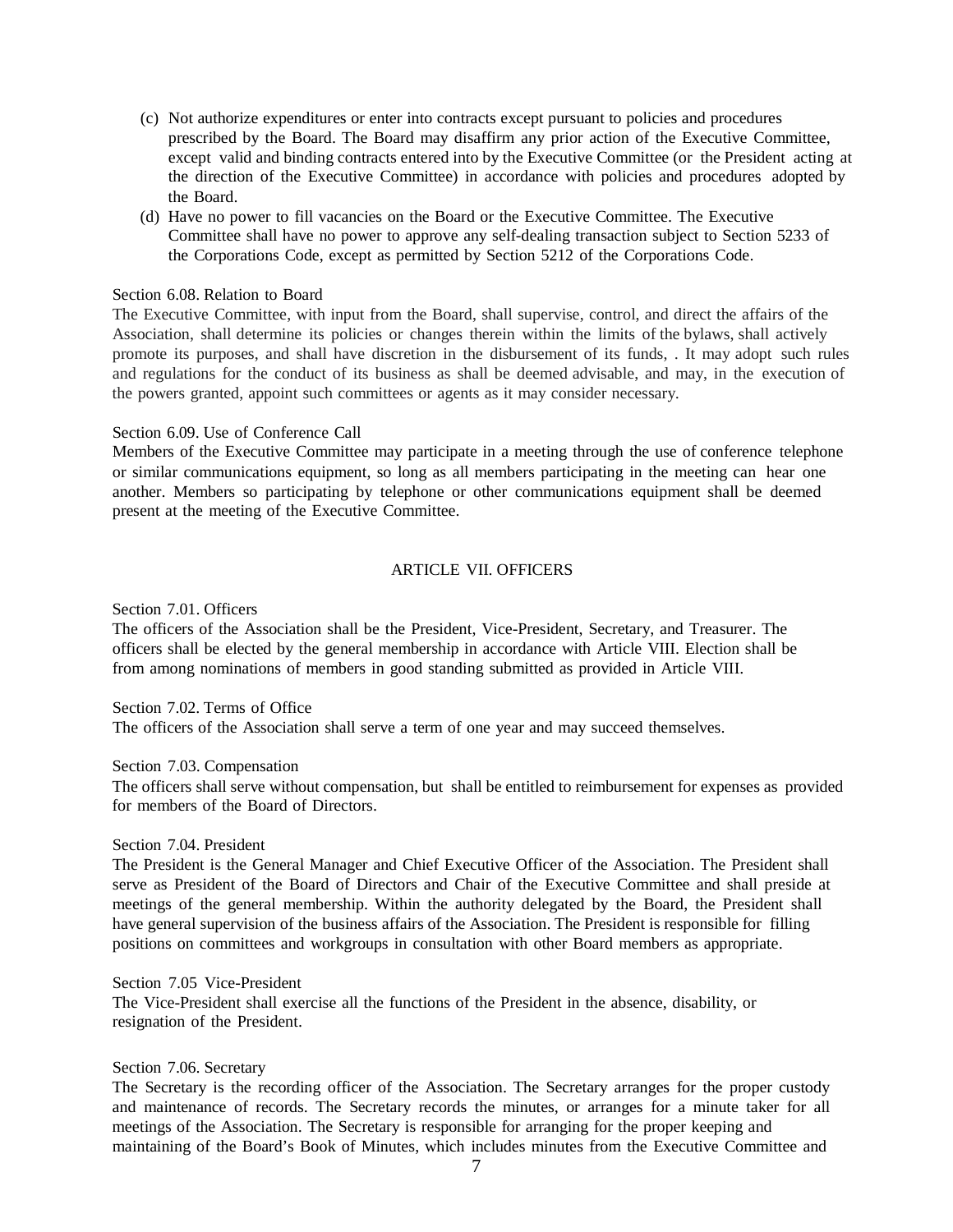- (c) Not authorize expenditures or enter into contracts except pursuant to policies and procedures prescribed by the Board. The Board may disaffirm any prior action of the Executive Committee, except valid and binding contracts entered into by the Executive Committee (or the President acting at the direction of the Executive Committee) in accordance with policies and procedures adopted by the Board.
- (d) Have no power to fill vacancies on the Board or the Executive Committee. The Executive Committee shall have no power to approve any self-dealing transaction subject to Section 5233 of the Corporations Code, except as permitted by Section 5212 of the Corporations Code.

### Section 6.08. Relation to Board

The Executive Committee, with input from the Board, shall supervise, control, and direct the affairs of the Association, shall determine its policies or changes therein within the limits of the bylaws, shall actively promote its purposes, and shall have discretion in the disbursement of its funds, . It may adopt such rules and regulations for the conduct of its business as shall be deemed advisable, and may, in the execution of the powers granted, appoint such committees or agents as it may consider necessary.

## Section 6.09. Use of Conference Call

Members of the Executive Committee may participate in a meeting through the use of conference telephone or similar communications equipment, so long as all members participating in the meeting can hear one another. Members so participating by telephone or other communications equipment shall be deemed present at the meeting of the Executive Committee.

# ARTICLE VII. OFFICERS

Section 7.01. Officers

The officers of the Association shall be the President, Vice-President, Secretary, and Treasurer. The officers shall be elected by the general membership in accordance with Article VIII. Election shall be from among nominations of members in good standing submitted as provided in Article VIII.

## Section 7.02. Terms of Office

The officers of the Association shall serve a term of one year and may succeed themselves.

#### Section 7.03. Compensation

The officers shall serve without compensation, but shall be entitled to reimbursement for expenses as provided for members of the Board of Directors.

### Section 7.04. President

The President is the General Manager and Chief Executive Officer of the Association. The President shall serve as President of the Board of Directors and Chair of the Executive Committee and shall preside at meetings of the general membership. Within the authority delegated by the Board, the President shall have general supervision of the business affairs of the Association. The President is responsible for filling positions on committees and workgroups in consultation with other Board members as appropriate.

### Section 7.05 Vice-President

The Vice-President shall exercise all the functions of the President in the absence, disability, or resignation of the President.

#### Section 7.06. Secretary

The Secretary is the recording officer of the Association. The Secretary arranges for the proper custody and maintenance of records. The Secretary records the minutes, or arranges for a minute taker for all meetings of the Association. The Secretary is responsible for arranging for the proper keeping and maintaining of the Board's Book of Minutes, which includes minutes from the Executive Committee and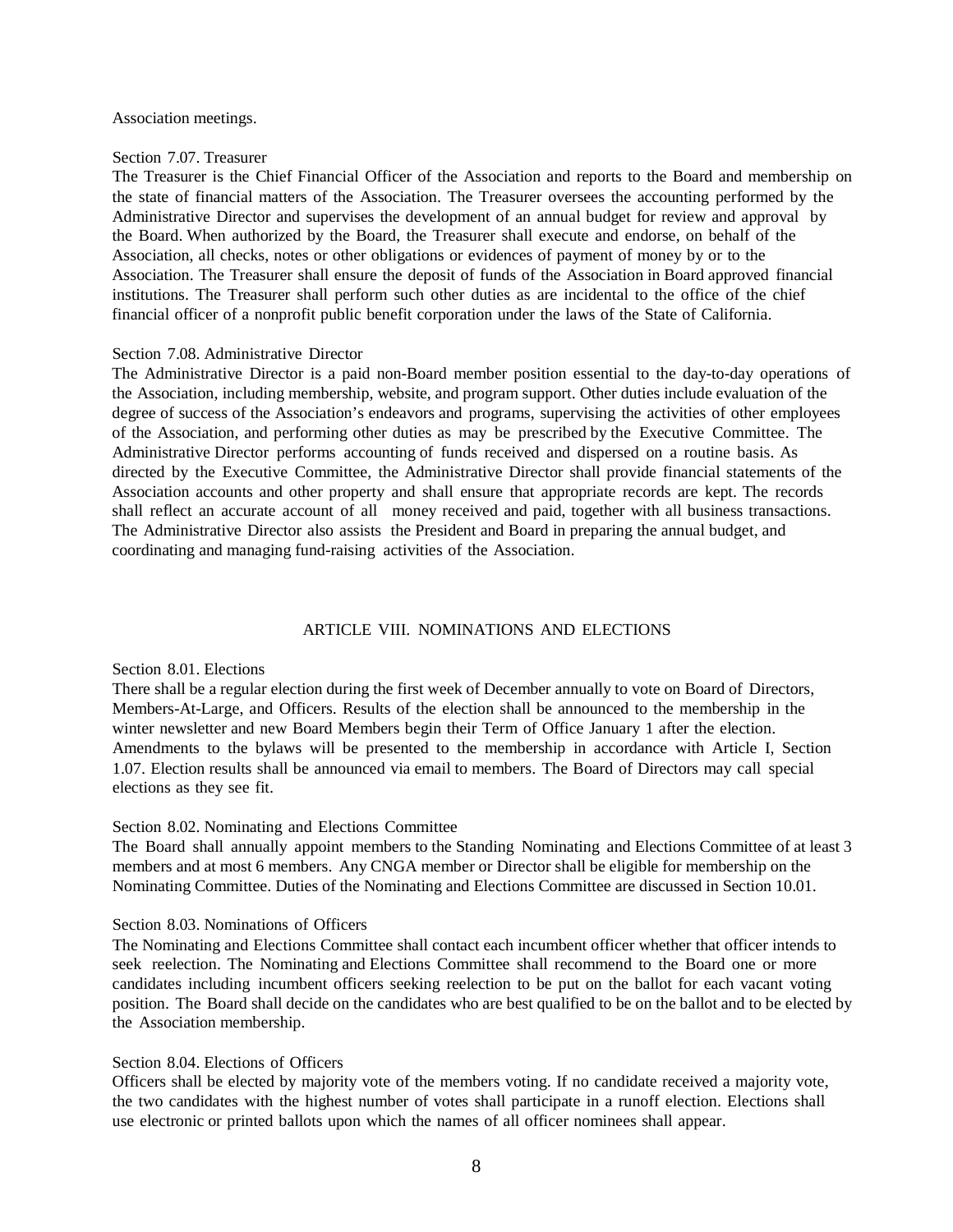#### Association meetings.

#### Section 7.07. Treasurer

The Treasurer is the Chief Financial Officer of the Association and reports to the Board and membership on the state of financial matters of the Association. The Treasurer oversees the accounting performed by the Administrative Director and supervises the development of an annual budget for review and approval by the Board. When authorized by the Board, the Treasurer shall execute and endorse, on behalf of the Association, all checks, notes or other obligations or evidences of payment of money by or to the Association. The Treasurer shall ensure the deposit of funds of the Association in Board approved financial institutions. The Treasurer shall perform such other duties as are incidental to the office of the chief financial officer of a nonprofit public benefit corporation under the laws of the State of California.

#### Section 7.08. Administrative Director

The Administrative Director is a paid non-Board member position essential to the day-to-day operations of the Association, including membership, website, and program support. Other duties include evaluation of the degree of success of the Association's endeavors and programs, supervising the activities of other employees of the Association, and performing other duties as may be prescribed by the Executive Committee. The Administrative Director performs accounting of funds received and dispersed on a routine basis. As directed by the Executive Committee, the Administrative Director shall provide financial statements of the Association accounts and other property and shall ensure that appropriate records are kept. The records shall reflect an accurate account of all money received and paid, together with all business transactions. The Administrative Director also assists the President and Board in preparing the annual budget, and coordinating and managing fund-raising activities of the Association.

### ARTICLE VIII. NOMINATIONS AND ELECTIONS

### Section 8.01. Elections

There shall be a regular election during the first week of December annually to vote on Board of Directors, Members-At-Large, and Officers. Results of the election shall be announced to the membership in the winter newsletter and new Board Members begin their Term of Office January 1 after the election. Amendments to the bylaws will be presented to the membership in accordance with Article I, Section 1.07. Election results shall be announced via email to members. The Board of Directors may call special elections as they see fit.

# Section 8.02. Nominating and Elections Committee

The Board shall annually appoint members to the Standing Nominating and Elections Committee of at least 3 members and at most 6 members. Any CNGA member or Director shall be eligible for membership on the Nominating Committee. Duties of the Nominating and Elections Committee are discussed in Section 10.01.

## Section 8.03. Nominations of Officers

The Nominating and Elections Committee shall contact each incumbent officer whether that officer intends to seek reelection. The Nominating and Elections Committee shall recommend to the Board one or more candidates including incumbent officers seeking reelection to be put on the ballot for each vacant voting position. The Board shall decide on the candidates who are best qualified to be on the ballot and to be elected by the Association membership.

## Section 8.04. Elections of Officers

Officers shall be elected by majority vote of the members voting. If no candidate received a majority vote, the two candidates with the highest number of votes shall participate in a runoff election. Elections shall use electronic or printed ballots upon which the names of all officer nominees shall appear.